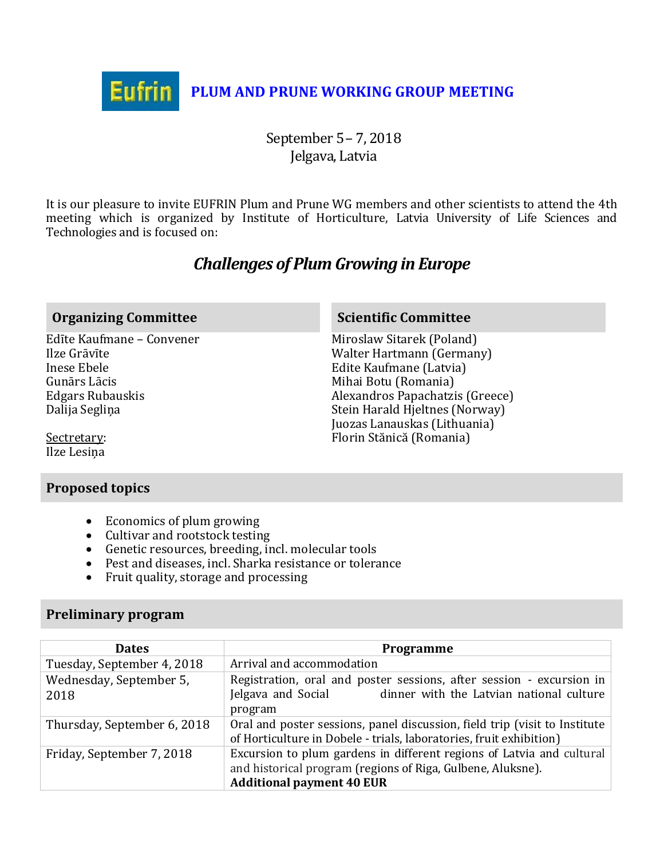

September 5– 7, 2018 Jelgava, Latvia

It is our pleasure to invite EUFRIN Plum and Prune WG members and other scientists to attend the 4th meeting which is organized by Institute of Horticulture, Latvia University of Life Sciences and Technologies and is focused on:

# *Challenges of Plum Growing in Europe*

## **Organizing Committee <b>Scientific Committee Scientific Committee**

Edīte Kaufmane – Convener Ilze Grāvīte Inese Ebele Gunārs Lācis Edgars Rubauskis Dalija Segliņa

Miroslaw Sitarek (Poland) Walter Hartmann (Germany) Edite Kaufmane (Latvia) Mihai Botu (Romania) Alexandros Papachatzis (Greece) Stein Harald Hjeltnes (Norway) Juozas Lanauskas (Lithuania) Florin Stănică (Romania)

Sectretary: Ilze Lesiņa

## **Proposed topics**

- Economics of plum growing
- Cultivar and rootstock testing
- Genetic resources, breeding, incl. molecular tools
- Pest and diseases, incl. Sharka resistance or tolerance
- Fruit quality, storage and processing

## **Preliminary program**

| <b>Dates</b>                | Programme                                                                                                                                                                |  |
|-----------------------------|--------------------------------------------------------------------------------------------------------------------------------------------------------------------------|--|
| Tuesday, September 4, 2018  | Arrival and accommodation                                                                                                                                                |  |
| Wednesday, September 5,     | Registration, oral and poster sessions, after session - excursion in                                                                                                     |  |
| 2018                        | dinner with the Latvian national culture<br>Jelgava and Social                                                                                                           |  |
|                             | program                                                                                                                                                                  |  |
| Thursday, September 6, 2018 | Oral and poster sessions, panel discussion, field trip (visit to Institute<br>of Horticulture in Dobele - trials, laboratories, fruit exhibition)                        |  |
| Friday, September 7, 2018   | Excursion to plum gardens in different regions of Latvia and cultural<br>and historical program (regions of Riga, Gulbene, Aluksne).<br><b>Additional payment 40 EUR</b> |  |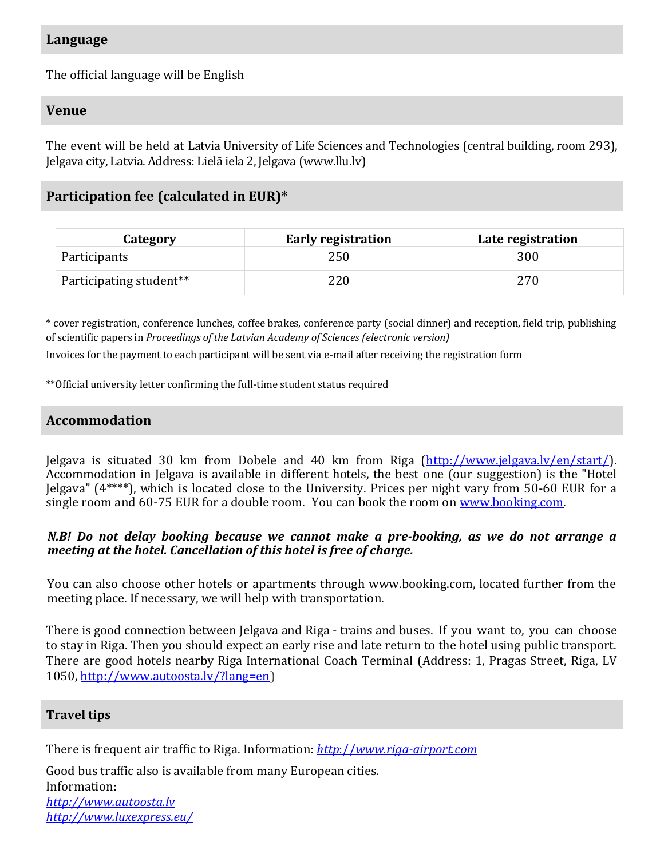## **Language**

The official language will be English

## **Venue**

The event will be held at Latvia University of Life Sciences and Technologies (central building, room 293), Jelgava city, Latvia. Address: Lielā iela 2, Jelgava (www.llu.lv)

## **Participation fee (calculated in EUR)\***

| Category                | <b>Early registration</b> | Late registration |
|-------------------------|---------------------------|-------------------|
| Participants            | 250                       | 300               |
| Participating student** | 220                       | 270               |

\* cover registration, conference lunches, coffee brakes, conference party (social dinner) and reception, field trip, publishing of scientific papers in *Proceedings of the Latvian Academy of Sciences (electronic version)*

Invoices for the payment to each participant will be sent via e-mail after receiving the registration form

\*\*Official university letter confirming the full-time student status required

## **Accommodation**

Jelgava is situated 30 km from Dobele and 40 km from Riga [\(http://www.jelgava.lv/en/start/\)](http://www.jelgava.lv/en/start/). Accommodation in Jelgava is available in different hotels, the best one (our suggestion) is the "Hotel Jelgava" (4\*\*\*\*), which is located close to the University. Prices per night vary from 50-60 EUR for a single room and 60-75 EUR for a double room. You can book the room on [www.booking.com.](http://www.booking.com/)

## *N.B! Do not delay booking because we cannot make a pre-booking, as we do not arrange a meeting at the hotel. Cancellation of this hotel is free of charge.*

You can also choose other hotels or apartments through www.booking.com, located further from the meeting place. If necessary, we will help with transportation.

There is good connection between Jelgava and Riga - trains and buses. If you want to, you can choose to stay in Riga. Then you should expect an early rise and late return to the hotel using public transport. There are good hotels nearby Riga International Coach Terminal (Address: 1, Pragas Street, Riga, LV 1050, [http://www.autoosta.lv/?lang=en\)](http://www.autoosta.lv/?lang=en)

## **Travel tips**

There is frequent air traffic to Riga. Information: *http*://*[www.riga-airport.com](http://www.riga-airport.com/)*

Good bus traffic also is available from many European cities. Information: *[http://www.autoosta.lv](http://www.autoosta.lv/) <http://www.luxexpress.eu/>*